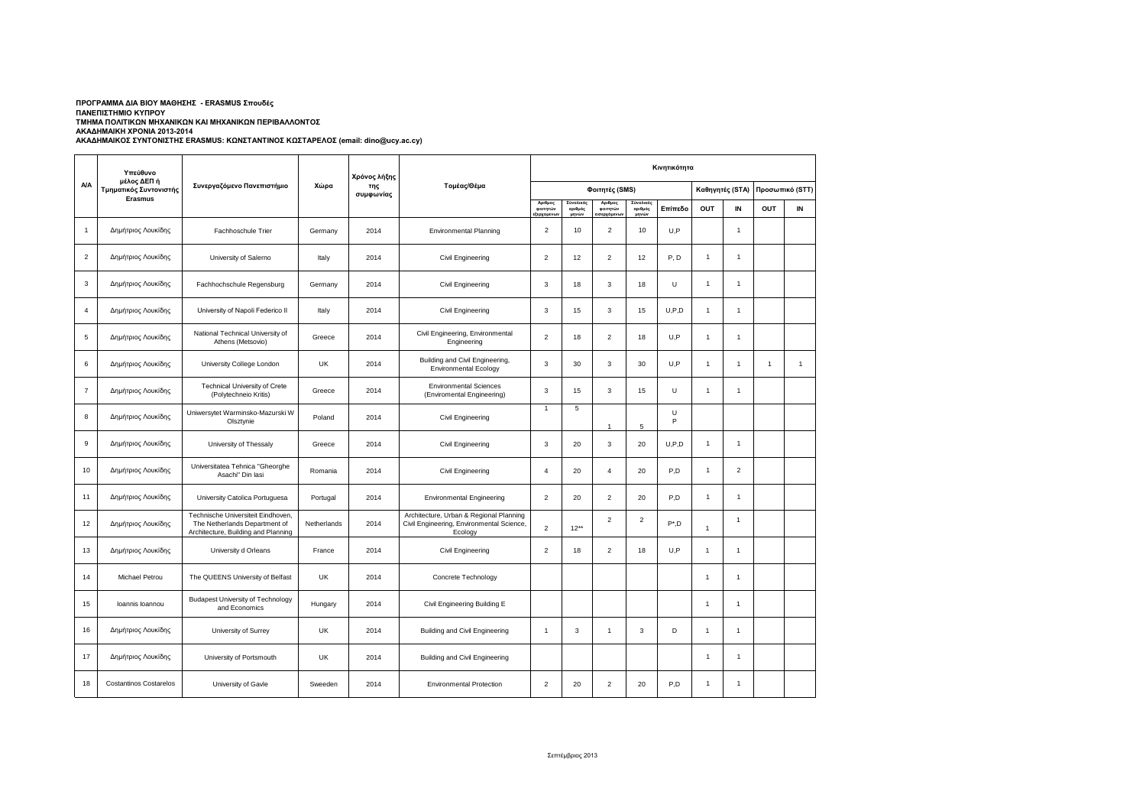## ΤΜΗΜΑ ΠΟΛΙΤΙΚΩΝ ΜΗΧΑΝΙΚΩΝ ΚΑΙ ΜΗΧΑΝΙΚΩΝ ΠΕΡΙΒΑΛΛΟΝΤΟΣ<br>ΑΚΑΔΗΜΑΙΚΗ ΧΡΟΝΙΑ 2013-2014 **ΠΡΟΓΡΑΜΜΑ ΔΙΑ ΒΙΟΥ ΜΑΘΗΣΗΣ - ERASMUS Σπουδές ΠΑΝΕΠΙΣΤΗΜΙΟ ΚΥΠΡΟΥ**

|                | Υπεύθυνο                                                |                                                                                                            |             | Χρόνος λήξης     |                                                                                                 |                                       |                               |                                   |                               | Κινητικότητα |                      |                |                 |              |
|----------------|---------------------------------------------------------|------------------------------------------------------------------------------------------------------------|-------------|------------------|-------------------------------------------------------------------------------------------------|---------------------------------------|-------------------------------|-----------------------------------|-------------------------------|--------------|----------------------|----------------|-----------------|--------------|
| <b>A/A</b>     | μέλος ΔΕΠ ή<br>Τμηματικός Συντονιστής<br><b>Erasmus</b> | Συνεργαζόμενο Πανεπιστήμιο                                                                                 | Χώρα        | της<br>συμφωνίας | Τομέας/Θέμα                                                                                     |                                       |                               | Φοιτητές (SMS)                    |                               |              | Καθηγητές (STA)      |                | Προσωπικό (STT) |              |
|                |                                                         |                                                                                                            |             |                  |                                                                                                 | Αριθμος<br>φοιτητών<br>.<br>ξερχομενω | Σύνολικός<br>αριθμός<br>μηνών | Αριθμος<br>φοιτητών<br>ισερχόμενω | Σύνολικός<br>αριθμός<br>μηνών | Επίπεδο      | OUT                  | IN             | OUT             | IN           |
| $\mathbf{1}$   | Δημήτριος Λουκίδης                                      | Fachhoschule Trier                                                                                         | Germany     | 2014             | <b>Environmental Planning</b>                                                                   | $\overline{2}$                        | 10                            | $\overline{2}$                    | 10                            | U,P          |                      | $\mathbf{1}$   |                 |              |
| $\overline{2}$ | Δημήτριος Λουκίδης                                      | University of Salerno                                                                                      | Italy       | 2014             | Civil Engineering                                                                               | $\overline{2}$                        | 12                            | $\overline{2}$                    | 12                            | P.D          | $\mathbf{1}$         | $\mathbf{1}$   |                 |              |
| 3              | Δημήτριος Λουκίδης                                      | Fachhochschule Regensburg                                                                                  | Germany     | 2014             | Civil Engineering                                                                               | 3                                     | 18                            | 3                                 | 18                            | U            | $\mathbf{1}$         | $\mathbf{1}$   |                 |              |
| 4              | Δημήτριος Λουκίδης                                      | University of Napoli Federico II                                                                           | Italy       | 2014             | Civil Engineering                                                                               | 3                                     | 15                            | 3                                 | 15                            | U, P, D      | $\mathbf{1}$         | $\mathbf{1}$   |                 |              |
| 5              | Δημήτριος Λουκίδης                                      | National Technical University of<br>Athens (Metsovio)                                                      | Greece      | 2014             | Civil Engineering, Environmental<br>Engineering                                                 | $\overline{2}$                        | 18                            | $\overline{2}$                    | 18                            | U,P          | $\mathbf{1}$         | $\mathbf{1}$   |                 |              |
| 6              | Δημήτριος Λουκίδης                                      | University College London                                                                                  | UK          | 2014             | Building and Civil Engineering,<br><b>Environmental Ecology</b>                                 | 3                                     | 30                            | 3                                 | 30                            | U,P          | $\mathbf{1}$         | $\mathbf{1}$   | $\overline{1}$  | $\mathbf{1}$ |
| $\overline{7}$ | Δημήτριος Λουκίδης                                      | Technical University of Crete<br>(Polytechneio Kritis)                                                     | Greece      | 2014             | <b>Environmental Sciences</b><br>(Enviromental Engineering)                                     | 3                                     | 15                            | 3                                 | 15                            | U            | $\mathbf{1}$         | $\mathbf{1}$   |                 |              |
| 8              | Δημήτριος Λουκίδης                                      | Uniwersytet Warminsko-Mazurski W<br>Olsztynie                                                              | Poland      | 2014             | Civil Engineering                                                                               | $\overline{1}$                        | 5                             | $\ddot{\phantom{0}}$              | 5                             | U<br>P       |                      |                |                 |              |
| 9              | Δημήτριος Λουκίδης                                      | University of Thessaly                                                                                     | Greece      | 2014             | Civil Engineering                                                                               | 3                                     | 20                            | 3                                 | 20                            | U, P, D      | $\mathbf{1}$         | $\mathbf{1}$   |                 |              |
| 10             | Δημήτριος Λουκίδης                                      | Universitatea Tehnica "Gheorghe<br>Asachi" Din Iasi                                                        | Romania     | 2014             | Civil Engineering                                                                               | $\overline{4}$                        | 20                            | $\overline{4}$                    | 20                            | P,D          | $\mathbf{1}$         | $\overline{2}$ |                 |              |
| 11             | Δημήτριος Λουκίδης                                      | University Catolica Portuguesa                                                                             | Portugal    | 2014             | <b>Environmental Engineering</b>                                                                | $\overline{2}$                        | 20                            | $\overline{2}$                    | 20                            | P,D          | $\mathbf{1}$         | $\mathbf{1}$   |                 |              |
| 12             | Δημήτριος Λουκίδης                                      | Technische Universiteit Eindhoven,<br>The Netherlands Department of<br>Architecture, Building and Planning | Netherlands | 2014             | Architecture, Urban & Regional Planning<br>Civil Engineering, Environmental Science,<br>Ecology | $\overline{2}$                        | $12**$                        | $\overline{2}$                    | $\overline{2}$                | $P^*$ ,D     | 1                    | $\mathbf{1}$   |                 |              |
| 13             | Δημήτριος Λουκίδης                                      | University d Orleans                                                                                       | France      | 2014             | Civil Engineering                                                                               | $\overline{2}$                        | 18                            | $\overline{2}$                    | 18                            | U.P          | 1                    | $\mathbf{1}$   |                 |              |
| 14             | Michael Petrou                                          | The QUEENS University of Belfast                                                                           | UK          | 2014             | Concrete Technology                                                                             |                                       |                               |                                   |                               |              | 1                    | $\mathbf{1}$   |                 |              |
| 15             | Ioannis Ioannou                                         | <b>Budapest University of Technology</b><br>and Economics                                                  | Hungary     | 2014             | Civil Engineering Building E                                                                    |                                       |                               |                                   |                               |              | 1                    | $\mathbf{1}$   |                 |              |
| 16             | Δημήτριος Λουκίδης                                      | University of Surrey                                                                                       | UK          | 2014             | Building and Civil Engineering                                                                  | $\overline{1}$                        | 3                             | $\mathbf{1}$                      | 3                             | D            | $\ddot{\phantom{0}}$ | $\mathbf{1}$   |                 |              |
| 17             | Δημήτριος Λουκίδης                                      | University of Portsmouth                                                                                   | UK          | 2014             | Building and Civil Engineering                                                                  |                                       |                               |                                   |                               |              | 1                    | $\mathbf{1}$   |                 |              |
| 18             | <b>Costantinos Costarelos</b>                           | University of Gavle                                                                                        | Sweeden     | 2014             | <b>Environmental Protection</b>                                                                 | $\overline{2}$                        | 20                            | $\overline{2}$                    | 20                            | P.D          | $\mathbf{1}$         | $\mathbf{1}$   |                 |              |

## **ΑΚΑΔΗΜΑΙΚΟΣ ΣΥΝΤΟΝΙΣΤΗΣ ERASMUS: ΚΩΝΣΤΑΝΤΙΝΟΣ ΚΩΣΤΑΡΕΛΟΣ (email: dino@ucy.ac.cy)**